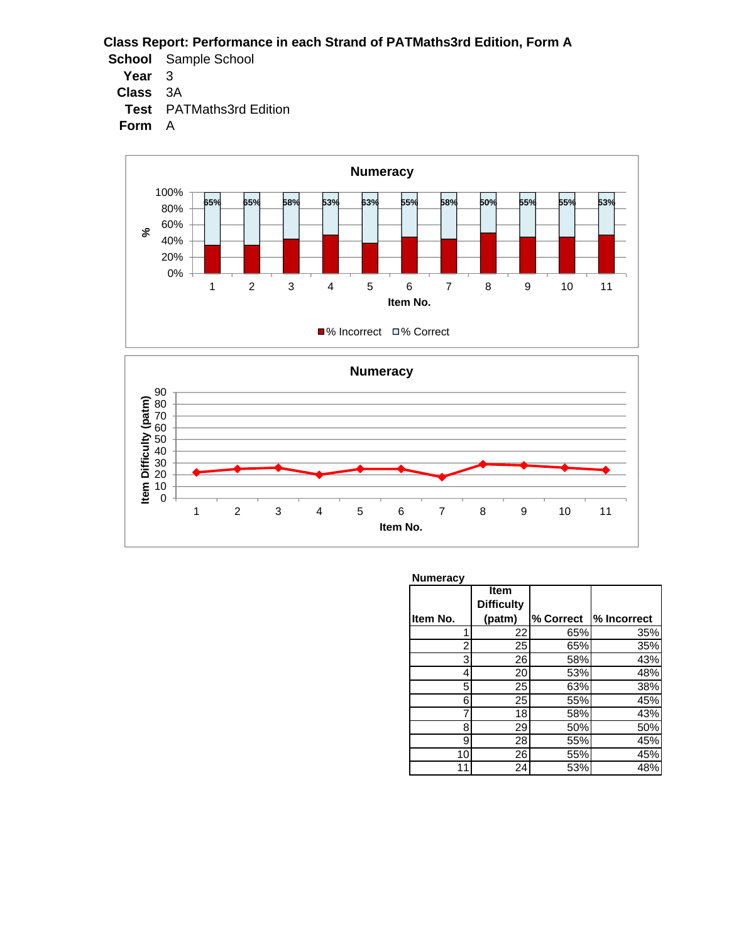- **School** Sample School
	- **Year** 3
	- **Class** 3A
	- **Test** PATMaths3rd Edition





| <b>Numeracy</b> |                                     |           |             |
|-----------------|-------------------------------------|-----------|-------------|
| Item No.        | Item<br><b>Difficulty</b><br>(patm) | % Correct | % Incorrect |
|                 |                                     |           |             |
| 1               | 22                                  | 65%       | 35%         |
| 2               | 25                                  | 65%       | 35%         |
| 3               | 26                                  | 58%       | 43%         |
| 4               | 20                                  | 53%       | 48%         |
| 5               | 25                                  | 63%       | 38%         |
| 6               | 25                                  | 55%       | 45%         |
| 7               | 18                                  | 58%       | 43%         |
| 8               | 29                                  | 50%       | 50%         |
| 9               | 28                                  | 55%       | 45%         |
| 10              | 26                                  | 55%       | 45%         |
| 11              | 24                                  | 53%       | 48%         |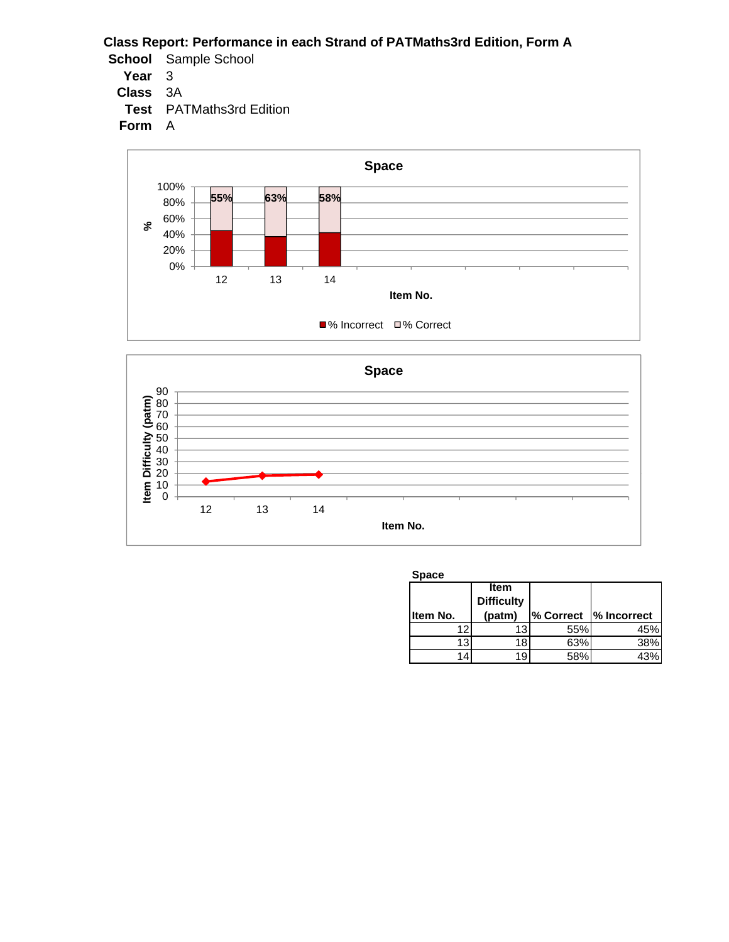- **School** Sample School
	- **Year** 3
	- **Class** 3A
	- **Test** PATMaths3rd Edition





| <b>Space</b> |                                     |     |                        |  |  |  |
|--------------|-------------------------------------|-----|------------------------|--|--|--|
| Item No.     | Item<br><b>Difficulty</b><br>(patm) |     | % Correct  % Incorrect |  |  |  |
| 12           | 13                                  | 55% | 45%                    |  |  |  |
| 13           | 18                                  | 63% | 38%                    |  |  |  |
|              | 19                                  | 58% |                        |  |  |  |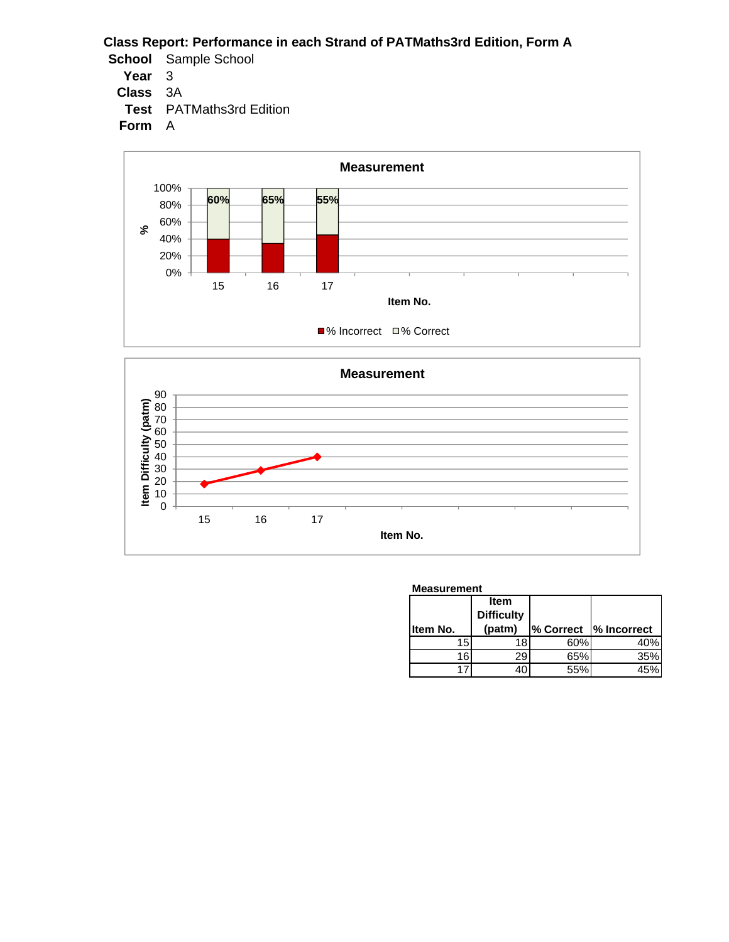- **School** Sample School
	- **Year** 3
	- **Class** 3A
	- **Test** PATMaths3rd Edition





| <b>Measurement</b> |                           |     |                        |  |
|--------------------|---------------------------|-----|------------------------|--|
|                    | Item<br><b>Difficulty</b> |     |                        |  |
| Item No.           | (patm)                    |     | % Correct  % Incorrect |  |
| 15                 | 18                        | 60% | 40%                    |  |
| 16                 |                           | 65% | 35%                    |  |
|                    |                           |     |                        |  |